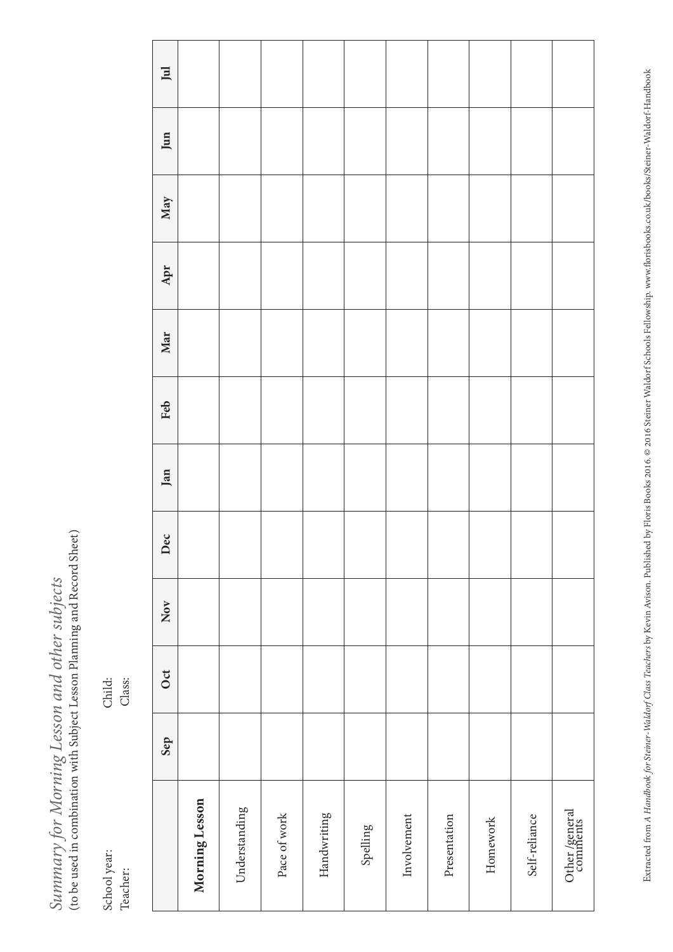$\label{thm:main} Summary for Morning Lesson\ and\ other\ subjects$  (to be used in combination with Subject Lesson Planning and Record Sheet) (to be used in combination with Subject Lesson Planning and Record Sheet) *Summary for Morning Lesson and other subjects* 

School year: Child: Teacher: Class: School year: Teacher:

Class:

Child:

|                           | Sep | Oct | Nov | Dec | Jan | Feb | Mar | Apr | May | Jun | $\overline{\mathbf{j}}$ |
|---------------------------|-----|-----|-----|-----|-----|-----|-----|-----|-----|-----|-------------------------|
| Morning Lesson            |     |     |     |     |     |     |     |     |     |     |                         |
| Understanding             |     |     |     |     |     |     |     |     |     |     |                         |
| Pace of work              |     |     |     |     |     |     |     |     |     |     |                         |
| Handwriting               |     |     |     |     |     |     |     |     |     |     |                         |
| Spelling                  |     |     |     |     |     |     |     |     |     |     |                         |
| Involvement               |     |     |     |     |     |     |     |     |     |     |                         |
| Presentation              |     |     |     |     |     |     |     |     |     |     |                         |
| Homework                  |     |     |     |     |     |     |     |     |     |     |                         |
| Self-reliance             |     |     |     |     |     |     |     |     |     |     |                         |
| Other/general<br>comments |     |     |     |     |     |     |     |     |     |     |                         |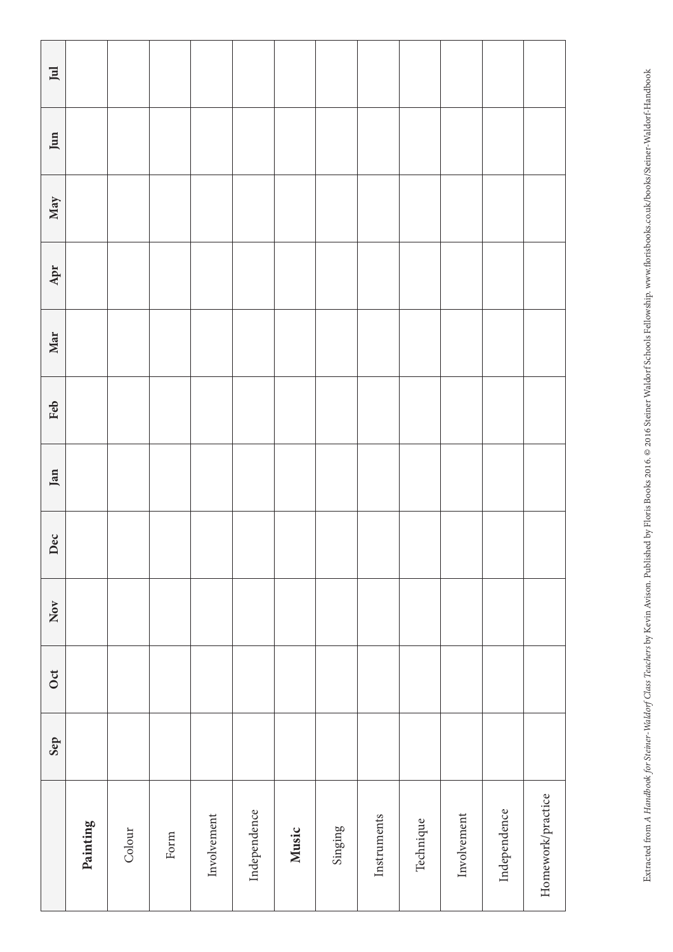| $\ensuremath{\text{\sc{pi}}\xspace$ |          |        |      |             |              |       |         |             |           |             |              |                   |
|-------------------------------------|----------|--------|------|-------------|--------------|-------|---------|-------------|-----------|-------------|--------------|-------------------|
| Jun                                 |          |        |      |             |              |       |         |             |           |             |              |                   |
| May                                 |          |        |      |             |              |       |         |             |           |             |              |                   |
| Apr                                 |          |        |      |             |              |       |         |             |           |             |              |                   |
| Mar                                 |          |        |      |             |              |       |         |             |           |             |              |                   |
| Feb                                 |          |        |      |             |              |       |         |             |           |             |              |                   |
| Jan                                 |          |        |      |             |              |       |         |             |           |             |              |                   |
| Dec                                 |          |        |      |             |              |       |         |             |           |             |              |                   |
| Nov                                 |          |        |      |             |              |       |         |             |           |             |              |                   |
| Oct                                 |          |        |      |             |              |       |         |             |           |             |              |                   |
| Sep                                 |          |        |      |             |              |       |         |             |           |             |              |                   |
|                                     | Painting | Colour | Form | Involvement | Independence | Music | Singing | Instruments | Technique | Involvement | Independence | Homework/practice |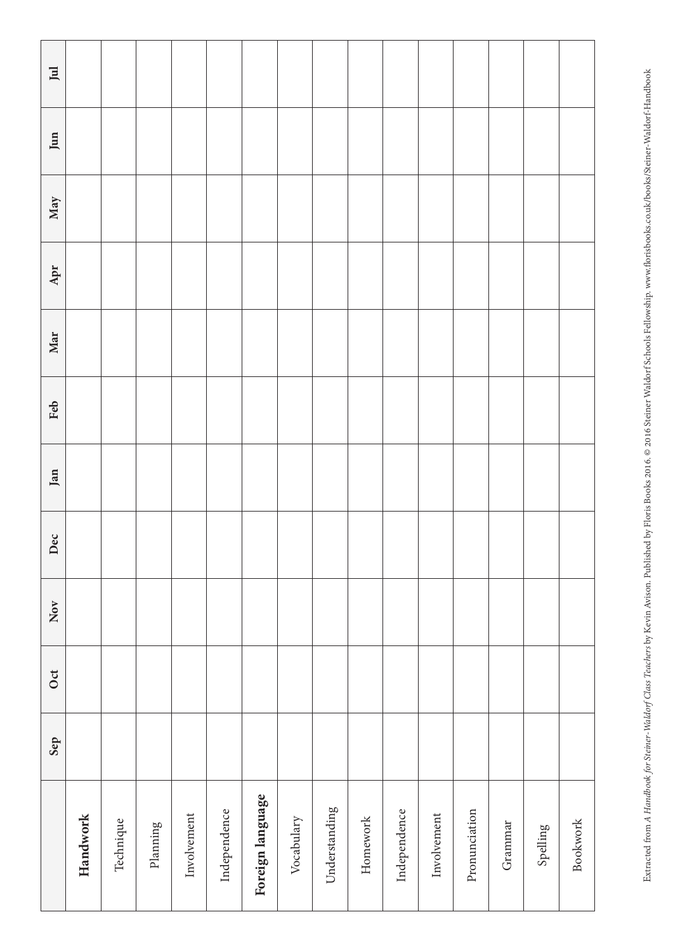| $\rm{Jul}$        |          |           |          |             |              |                  |            |               |          |              |             |               |         |          |                 |
|-------------------|----------|-----------|----------|-------------|--------------|------------------|------------|---------------|----------|--------------|-------------|---------------|---------|----------|-----------------|
| Jun               |          |           |          |             |              |                  |            |               |          |              |             |               |         |          |                 |
| May               |          |           |          |             |              |                  |            |               |          |              |             |               |         |          |                 |
| Apr               |          |           |          |             |              |                  |            |               |          |              |             |               |         |          |                 |
| Mar               |          |           |          |             |              |                  |            |               |          |              |             |               |         |          |                 |
| Feb               |          |           |          |             |              |                  |            |               |          |              |             |               |         |          |                 |
| Jan               |          |           |          |             |              |                  |            |               |          |              |             |               |         |          |                 |
| Dec               |          |           |          |             |              |                  |            |               |          |              |             |               |         |          |                 |
| $\overline{N}$ ov |          |           |          |             |              |                  |            |               |          |              |             |               |         |          |                 |
| <b>Oct</b>        |          |           |          |             |              |                  |            |               |          |              |             |               |         |          |                 |
| Sep               |          |           |          |             |              |                  |            |               |          |              |             |               |         |          |                 |
|                   | Handwork | Technique | Planning | Involvement | Independence | Foreign language | Vocabulary | Understanding | Homework | Independence | Involvement | Pronunciation | Grammar | Spelling | <b>Bookwork</b> |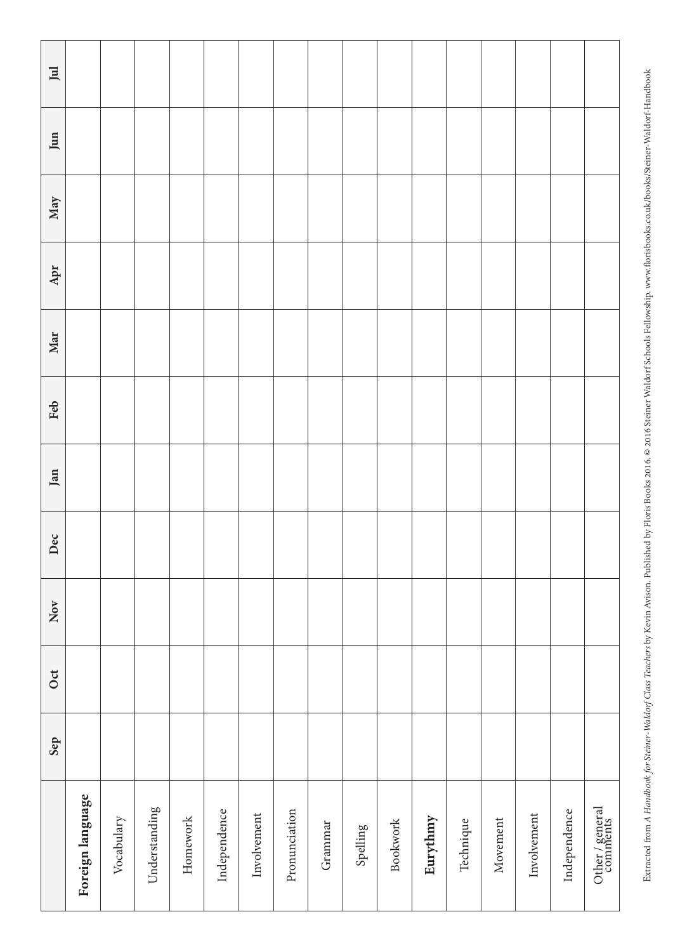| $\rm{Jul}$ |                  |            |               |          |              |             |               |         |          |                 |          |           |          |             |              |                             |
|------------|------------------|------------|---------------|----------|--------------|-------------|---------------|---------|----------|-----------------|----------|-----------|----------|-------------|--------------|-----------------------------|
| Jun        |                  |            |               |          |              |             |               |         |          |                 |          |           |          |             |              |                             |
| May        |                  |            |               |          |              |             |               |         |          |                 |          |           |          |             |              |                             |
| Apr        |                  |            |               |          |              |             |               |         |          |                 |          |           |          |             |              |                             |
| Mar        |                  |            |               |          |              |             |               |         |          |                 |          |           |          |             |              |                             |
| Feb        |                  |            |               |          |              |             |               |         |          |                 |          |           |          |             |              |                             |
| Jan        |                  |            |               |          |              |             |               |         |          |                 |          |           |          |             |              |                             |
| Dec        |                  |            |               |          |              |             |               |         |          |                 |          |           |          |             |              |                             |
| Nov        |                  |            |               |          |              |             |               |         |          |                 |          |           |          |             |              |                             |
| <b>Oct</b> |                  |            |               |          |              |             |               |         |          |                 |          |           |          |             |              |                             |
| Sep        |                  |            |               |          |              |             |               |         |          |                 |          |           |          |             |              |                             |
|            | Foreign language | Vocabulary | Understanding | Homework | Independence | Involvement | Pronunciation | Grammar | Spelling | <b>Bookwork</b> | Eurythmy | Technique | Movement | Involvement | Independence | Other / general<br>comments |

Extracted from A Handbook for Steiner-Waldorf Class Teachers by Kevin Avison. Published by Floris Books 2016. @ 2016 Steiner Waldorf Schools Fellowship. www.florisbooks.co.uk/books/Steiner-Waldorf-Handbook Extracted from *A Handbook for Steiner-Waldorf Class Teachers* by Kevin Avison. Published by Floris Books 2016. © 2016 Steiner Waldorf Schools Fellowship. www.florisbooks.co.uk/books/Steiner-Waldorf-Handbook